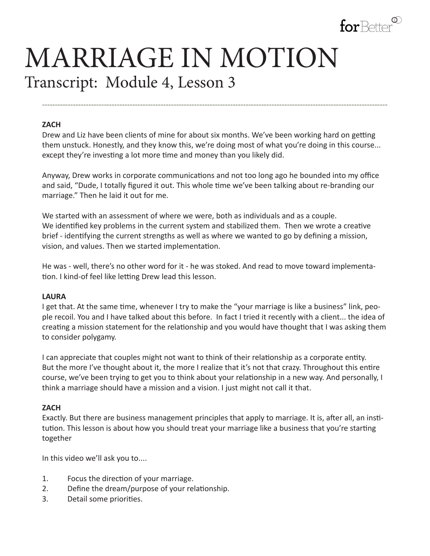

# MARRIAGE IN MOTION Transcript: Module 4, Lesson 3

#### **ZACH**

Drew and Liz have been clients of mine for about six months. We've been working hard on getting them unstuck. Honestly, and they know this, we're doing most of what you're doing in this course... except they're investing a lot more time and money than you likely did.

**--------------------------------------------------------------------------------------------------------------------------------------**

Anyway, Drew works in corporate communications and not too long ago he bounded into my office and said, "Dude, I totally figured it out. This whole time we've been talking about re-branding our marriage." Then he laid it out for me.

We started with an assessment of where we were, both as individuals and as a couple. We identified key problems in the current system and stabilized them. Then we wrote a creative brief - identifying the current strengths as well as where we wanted to go by defining a mission, vision, and values. Then we started implementation.

He was - well, there's no other word for it - he was stoked. And read to move toward implementation. I kind-of feel like letting Drew lead this lesson.

#### **LAURA**

I get that. At the same time, whenever I try to make the "your marriage is like a business" link, people recoil. You and I have talked about this before. In fact I tried it recently with a client... the idea of creating a mission statement for the relationship and you would have thought that I was asking them to consider polygamy.

I can appreciate that couples might not want to think of their relationship as a corporate entity. But the more I've thought about it, the more I realize that it's not that crazy. Throughout this entire course, we've been trying to get you to think about your relationship in a new way. And personally, I think a marriage should have a mission and a vision. I just might not call it that.

## **ZACH**

Exactly. But there are business management principles that apply to marriage. It is, after all, an institution. This lesson is about how you should treat your marriage like a business that you're starting together

In this video we'll ask you to....

- 1. Focus the direction of your marriage.
- 2. Define the dream/purpose of your relationship.
- 3. Detail some priorities.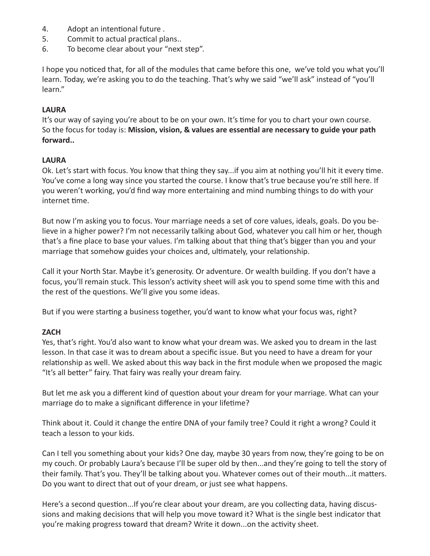- 4. Adopt an intentional future .
- 5. Commit to actual practical plans..
- 6. To become clear about your "next step".

I hope you noticed that, for all of the modules that came before this one, we've told you what you'll learn. Today, we're asking you to do the teaching. That's why we said "we'll ask" instead of "you'll learn."

# **LAURA**

It's our way of saying you're about to be on your own. It's time for you to chart your own course. So the focus for today is: **Mission, vision, & values are essential are necessary to guide your path forward..** 

## **LAURA**

Ok. Let's start with focus. You know that thing they say...if you aim at nothing you'll hit it every time. You've come a long way since you started the course. I know that's true because you're still here. If you weren't working, you'd find way more entertaining and mind numbing things to do with your internet time.

But now I'm asking you to focus. Your marriage needs a set of core values, ideals, goals. Do you believe in a higher power? I'm not necessarily talking about God, whatever you call him or her, though that's a fine place to base your values. I'm talking about that thing that's bigger than you and your marriage that somehow guides your choices and, ultimately, your relationship.

Call it your North Star. Maybe it's generosity. Or adventure. Or wealth building. If you don't have a focus, you'll remain stuck. This lesson's activity sheet will ask you to spend some time with this and the rest of the questions. We'll give you some ideas.

But if you were starting a business together, you'd want to know what your focus was, right?

## **ZACH**

Yes, that's right. You'd also want to know what your dream was. We asked you to dream in the last lesson. In that case it was to dream about a specific issue. But you need to have a dream for your relationship as well. We asked about this way back in the first module when we proposed the magic "It's all better" fairy. That fairy was really your dream fairy.

But let me ask you a different kind of question about your dream for your marriage. What can your marriage do to make a significant difference in your lifetime?

Think about it. Could it change the entire DNA of your family tree? Could it right a wrong? Could it teach a lesson to your kids.

Can I tell you something about your kids? One day, maybe 30 years from now, they're going to be on my couch. Or probably Laura's because I'll be super old by then...and they're going to tell the story of their family. That's you. They'll be talking about you. Whatever comes out of their mouth...it matters. Do you want to direct that out of your dream, or just see what happens.

Here's a second question...If you're clear about your dream, are you collecting data, having discussions and making decisions that will help you move toward it? What is the single best indicator that you're making progress toward that dream? Write it down...on the activity sheet.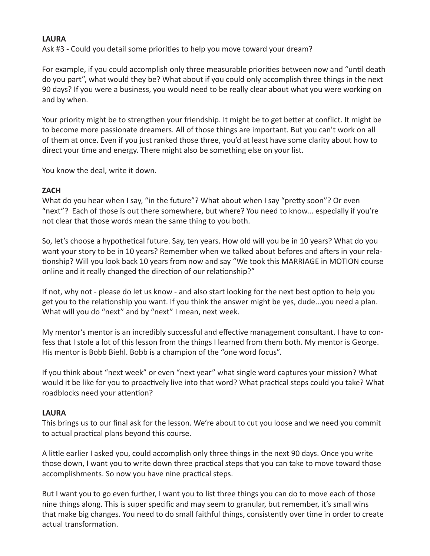#### **LAURA**

Ask #3 - Could you detail some priorities to help you move toward your dream?

For example, if you could accomplish only three measurable priorities between now and "until death do you part", what would they be? What about if you could only accomplish three things in the next 90 days? If you were a business, you would need to be really clear about what you were working on and by when.

Your priority might be to strengthen your friendship. It might be to get better at conflict. It might be to become more passionate dreamers. All of those things are important. But you can't work on all of them at once. Even if you just ranked those three, you'd at least have some clarity about how to direct your time and energy. There might also be something else on your list.

You know the deal, write it down.

#### **ZACH**

What do you hear when I say, "in the future"? What about when I say "pretty soon"? Or even "next"? Each of those is out there somewhere, but where? You need to know... especially if you're not clear that those words mean the same thing to you both.

So, let's choose a hypothetical future. Say, ten years. How old will you be in 10 years? What do you want your story to be in 10 years? Remember when we talked about befores and afters in your relationship? Will you look back 10 years from now and say "We took this MARRIAGE in MOTION course online and it really changed the direction of our relationship?"

If not, why not - please do let us know - and also start looking for the next best option to help you get you to the relationship you want. If you think the answer might be yes, dude...you need a plan. What will you do "next" and by "next" I mean, next week.

My mentor's mentor is an incredibly successful and effective management consultant. I have to confess that I stole a lot of this lesson from the things I learned from them both. My mentor is George. His mentor is Bobb Biehl. Bobb is a champion of the "one word focus".

If you think about "next week" or even "next year" what single word captures your mission? What would it be like for you to proactively live into that word? What practical steps could you take? What roadblocks need your attention?

## **LAURA**

This brings us to our final ask for the lesson. We're about to cut you loose and we need you commit to actual practical plans beyond this course.

A little earlier I asked you, could accomplish only three things in the next 90 days. Once you write those down, I want you to write down three practical steps that you can take to move toward those accomplishments. So now you have nine practical steps.

But I want you to go even further, I want you to list three things you can do to move each of those nine things along. This is super specific and may seem to granular, but remember, it's small wins that make big changes. You need to do small faithful things, consistently over time in order to create actual transformation.